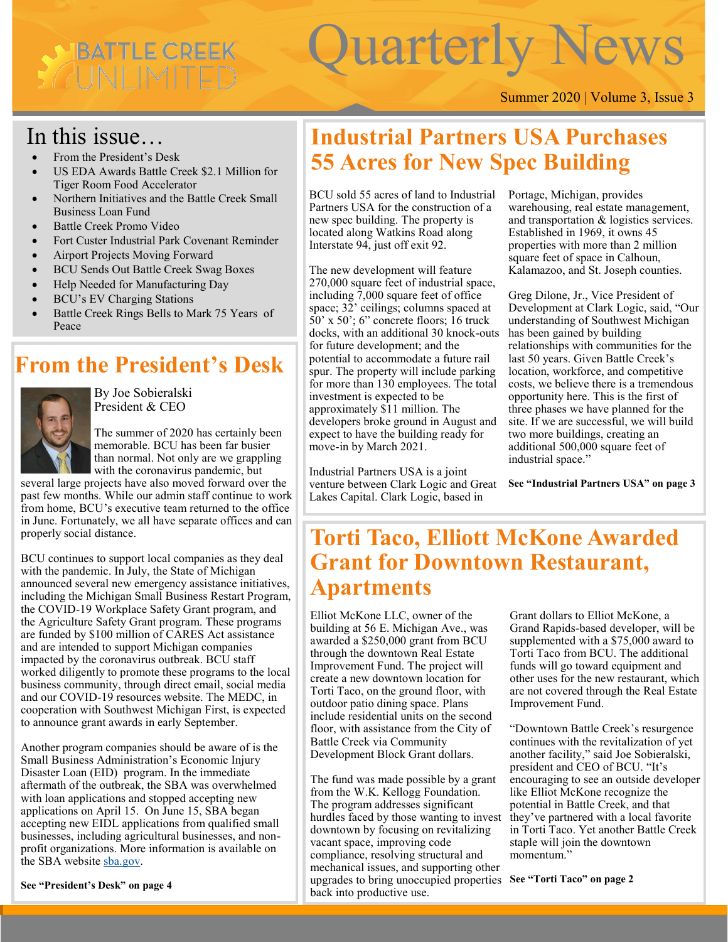# IBATTLE CREEK UNIMIT

# Quarterly News

#### Summer 2020 | Volume 3, Issue 3

## In this issue…

- From the President's Desk
- US EDA Awards Battle Creek \$2.1 Million for Tiger Room Food Accelerator
- Northern Initiatives and the Battle Creek Small Business Loan Fund
- Battle Creek Promo Video
- Fort Custer Industrial Park Covenant Reminder
- Airport Projects Moving Forward
- BCU Sends Out Battle Creek Swag Boxes
- Help Needed for Manufacturing Day
- BCU's EV Charging Stations
- Battle Creek Rings Bells to Mark 75 Years of Peace

## **From the President's Desk**



By Joe Sobieralski President & CEO

The summer of 2020 has certainly been memorable. BCU has been far busier than normal. Not only are we grappling with the coronavirus pandemic, but

several large projects have also moved forward over the past few months. While our admin staff continue to work from home, BCU's executive team returned to the office in June. Fortunately, we all have separate offices and can properly social distance.

BCU continues to support local companies as they deal with the pandemic. In July, the State of Michigan announced several new emergency assistance initiatives, including the Michigan Small Business Restart Program, the COVID-19 Workplace Safety Grant program, and the Agriculture Safety Grant program. These programs are funded by \$100 million of CARES Act assistance and are intended to support Michigan companies impacted by the coronavirus outbreak. BCU staff worked diligently to promote these programs to the local business community, through direct email, social media and our COVID-19 resources website. The MEDC, in cooperation with Southwest Michigan First, is expected to announce grant awards in early September.

Another program companies should be aware of is the Small Business Administration's Economic Injury Disaster Loan (EID) program. In the immediate aftermath of the outbreak, the SBA was overwhelmed with loan applications and stopped accepting new applications on April 15. On June 15, SBA began accepting new EIDL applications from qualified small businesses, including agricultural businesses, and nonprofit organizations. More information is available on the SBA website [sba.gov.](https://www.sba.gov/)

**See "President's Desk" on page 4**

# **Industrial Partners USA Purchases 55 Acres for New Spec Building**

BCU sold 55 acres of land to Industrial Partners USA for the construction of a new spec building. The property is located along Watkins Road along Interstate 94, just off exit 92.

The new development will feature 270,000 square feet of industrial space, including 7,000 square feet of office space; 32' ceilings; columns spaced at 50' x 50'; 6" concrete floors; 16 truck docks, with an additional 30 knock-outs for future development; and the potential to accommodate a future rail spur. The property will include parking for more than 130 employees. The total investment is expected to be approximately \$11 million. The developers broke ground in August and expect to have the building ready for move-in by March 2021.

Industrial Partners USA is a joint venture between Clark Logic and Great Lakes Capital. Clark Logic, based in

warehousing, real estate management, Portage, Michigan, provides and transportation & logistics services. Established in 1969, it owns 45 properties with more than 2 million square feet of space in Calhoun, Kalamazoo, and St. Joseph counties.

Greg Dilone, Jr., Vice President of Development at Clark Logic, said, "Our understanding of Southwest Michigan has been gained by building relationships with communities for the last 50 years. Given Battle Creek's location, workforce, and competitive costs, we believe there is a tremendous opportunity here. This is the first of three phases we have planned for the site. If we are successful, we will build two more buildings, creating an additional 500,000 square feet of industrial space."

**See "Industrial Partners USA" on page 3**

## **Torti Taco, Elliott McKone Awarded Grant for Downtown Restaurant, Apartments**

Elliot McKone LLC, owner of the building at 56 E. Michigan Ave., was awarded a \$250,000 grant from BCU through the downtown Real Estate Improvement Fund. The project will create a new downtown location for Torti Taco, on the ground floor, with outdoor patio dining space. Plans include residential units on the second floor, with assistance from the City of Battle Creek via Community Development Block Grant dollars.

The fund was made possible by a grant from the W.K. Kellogg Foundation. The program addresses significant hurdles faced by those wanting to invest downtown by focusing on revitalizing vacant space, improving code compliance, resolving structural and mechanical issues, and supporting other upgrades to bring unoccupied properties **See "Torti Taco" on page 2**back into productive use.

Grant dollars to Elliot McKone, a Grand Rapids-based developer, will be supplemented with a \$75,000 award to Torti Taco from BCU. The additional funds will go toward equipment and other uses for the new restaurant, which are not covered through the Real Estate Improvement Fund.

"Downtown Battle Creek's resurgence continues with the revitalization of yet another facility," said Joe Sobieralski, president and CEO of BCU. "It's encouraging to see an outside developer like Elliot McKone recognize the potential in Battle Creek, and that they've partnered with a local favorite in Torti Taco. Yet another Battle Creek staple will join the downtown momentum."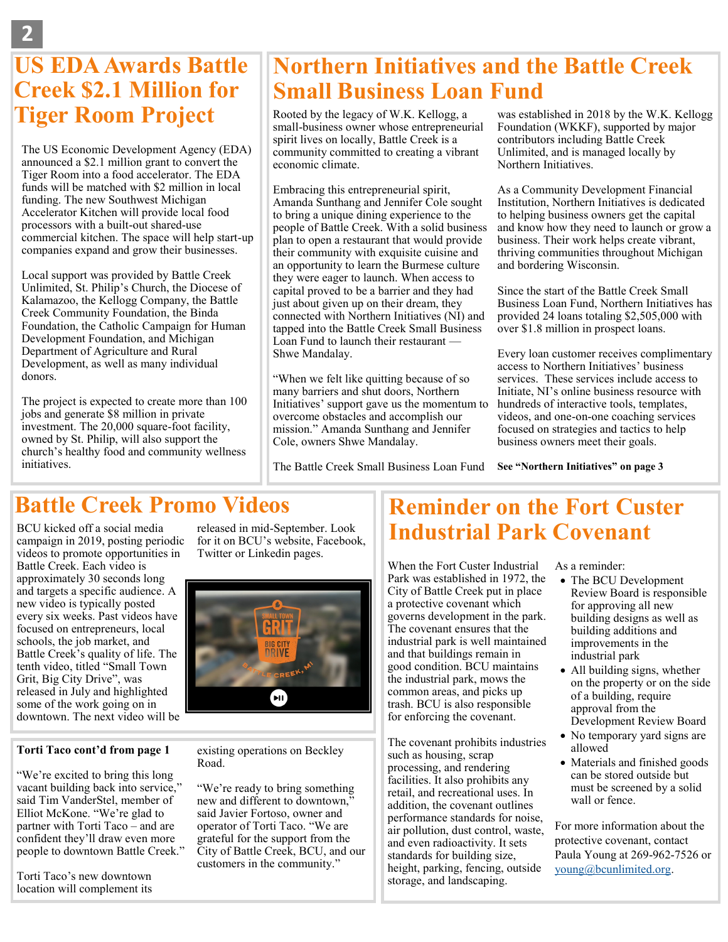# **US EDA Awards Battle Creek \$2.1 Million for Tiger Room Project** Rooted by the legacy of W.K. Kellogg, a

The US Economic Development Agency (EDA) announced a \$2.1 million grant to convert the Tiger Room into a food accelerator. The EDA funds will be matched with \$2 million in local funding. The new Southwest Michigan Accelerator Kitchen will provide local food processors with a built-out shared-use commercial kitchen. The space will help start-up companies expand and grow their businesses.

Local support was provided by Battle Creek Unlimited, St. Philip's Church, the Diocese of Kalamazoo, the Kellogg Company, the Battle Creek Community Foundation, the Binda Foundation, the Catholic Campaign for Human Development Foundation, and Michigan Department of Agriculture and Rural Development, as well as many individual donors.

The project is expected to create more than 100 jobs and generate \$8 million in private investment. The 20,000 square-foot facility, owned by St. Philip, will also support the church's healthy food and community wellness initiatives.

# **Northern Initiatives and the Battle Creek Small Business Loan Fund**

small-business owner whose entrepreneurial spirit lives on locally, Battle Creek is a community committed to creating a vibrant economic climate.

Embracing this entrepreneurial spirit, Amanda Sunthang and Jennifer Cole sought to bring a unique dining experience to the people of Battle Creek. With a solid business plan to open a restaurant that would provide their community with exquisite cuisine and an opportunity to learn the Burmese culture they were eager to launch. When access to capital proved to be a barrier and they had just about given up on their dream, they connected with Northern Initiatives (NI) and tapped into the Battle Creek Small Business Loan Fund to launch their restaurant — Shwe Mandalay.

"When we felt like quitting because of so many barriers and shut doors, Northern Initiatives' support gave us the momentum to overcome obstacles and accomplish our mission." Amanda Sunthang and Jennifer Cole, owners Shwe Mandalay.

The Battle Creek Small Business Loan Fund

was established in 2018 by the W.K. Kellogg Foundation (WKKF), supported by major contributors including Battle Creek Unlimited, and is managed locally by Northern Initiatives.

to helping business owners get the capital As a Community Development Financial Institution, Northern Initiatives is dedicated and know how they need to launch or grow a business. Their work helps create vibrant, thriving communities throughout Michigan and bordering Wisconsin.

Since the start of the Battle Creek Small Business Loan Fund, Northern Initiatives has provided 24 loans totaling \$2,505,000 with over \$1.8 million in prospect loans.

Every loan customer receives complimentary access to Northern Initiatives' business services. These services include access to Initiate, NI's online business resource with hundreds of interactive tools, templates, videos, and one-on-one coaching services focused on strategies and tactics to help business owners meet their goals.

**See "Northern Initiatives" on page 3**

## **Battle Creek Promo Videos**

BCU kicked off a social media campaign in 2019, posting periodic videos to promote opportunities in Battle Creek. Each video is approximately 30 seconds long and targets a specific audience. A new video is typically posted every six weeks. Past videos have focused on entrepreneurs, local schools, the job market, and Battle Creek's quality of life. The tenth video, titled "Small Town Grit, Big City Drive", was released in July and highlighted some of the work going on in downtown. The next video will be

#### **Torti Taco cont'd from page 1**

"We're excited to bring this long vacant building back into service," said Tim VanderStel, member of Elliot McKone. "We're glad to partner with Torti Taco – and are confident they'll draw even more people to downtown Battle Creek."

Torti Taco's new downtown location will complement its released in mid-September. Look for it on BCU's website, Facebook, Twitter or Linkedin pages.



#### existing operations on Beckley Road.

"We're ready to bring something new and different to downtown." said Javier Fortoso, owner and operator of Torti Taco. "We are grateful for the support from the City of Battle Creek, BCU, and our customers in the community."

#### **Reminder on the Fort Custer Industrial Park Covenant**

When the Fort Custer Industrial Park was established in 1972, the City of Battle Creek put in place a protective covenant which governs development in the park. The covenant ensures that the industrial park is well maintained and that buildings remain in good condition. BCU maintains the industrial park, mows the common areas, and picks up trash. BCU is also responsible for enforcing the covenant.

The covenant prohibits industries such as housing, scrap processing, and rendering facilities. It also prohibits any retail, and recreational uses. In addition, the covenant outlines performance standards for noise, air pollution, dust control, waste, and even radioactivity. It sets standards for building size, height, parking, fencing, outside storage, and landscaping.

As a reminder:

- The BCU Development Review Board is responsible for approving all new building designs as well as building additions and improvements in the industrial park
- All building signs, whether on the property or on the side of a building, require approval from the Development Review Board
- No temporary yard signs are allowed
- Materials and finished goods can be stored outside but must be screened by a solid wall or fence.

For more information about the protective covenant, contact Paula Young at 269-962-7526 or [young@bcunlimited.org.](mailto:young@bcunlimited.org)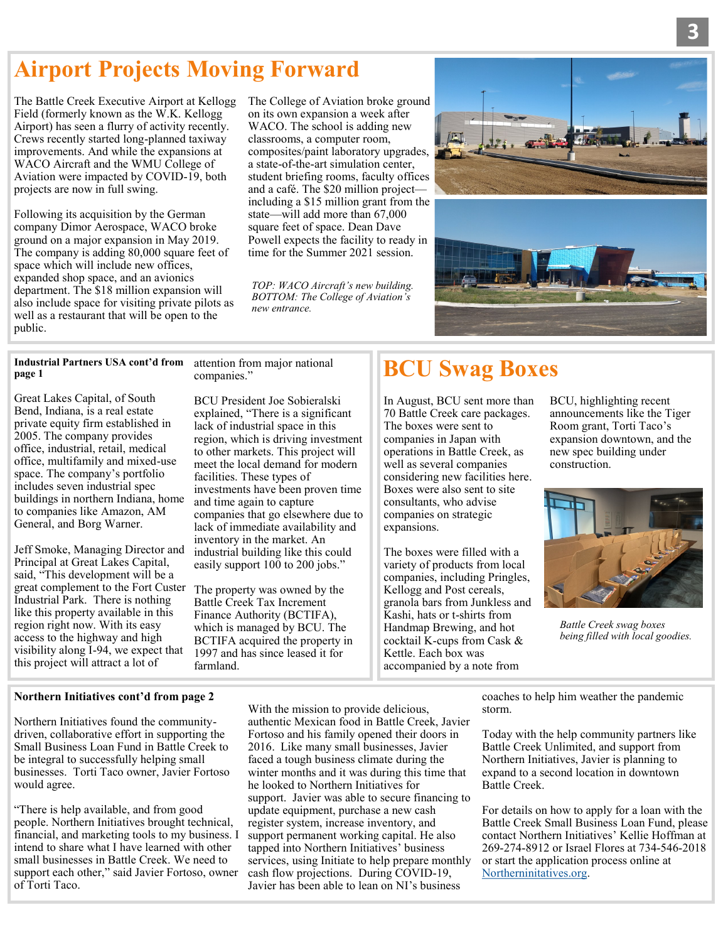## **Airport Projects Moving Forward**

The Battle Creek Executive Airport at Kellogg Field (formerly known as the W.K. Kellogg Airport) has seen a flurry of activity recently. Crews recently started long-planned taxiway improvements. And while the expansions at WACO Aircraft and the WMU College of Aviation were impacted by COVID-19, both projects are now in full swing.

Following its acquisition by the German company Dimor Aerospace, WACO broke ground on a major expansion in May 2019. The company is adding 80,000 square feet of space which will include new offices, expanded shop space, and an avionics department. The \$18 million expansion will also include space for visiting private pilots as well as a restaurant that will be open to the public.

The College of Aviation broke ground on its own expansion a week after WACO. The school is adding new classrooms, a computer room, composites/paint laboratory upgrades, a state-of-the-art simulation center, student briefing rooms, faculty offices and a café. The \$20 million project including a \$15 million grant from the state—will add more than 67,000 square feet of space. Dean Dave Powell expects the facility to ready in time for the Summer 2021 session.

*TOP: WACO Aircraft's new building. BOTTOM: The College of Aviation's new entrance.*



#### **Industrial Partners USA cont'd from page 1**

Great Lakes Capital, of South Bend, Indiana, is a real estate private equity firm established in 2005. The company provides office, industrial, retail, medical office, multifamily and mixed-use space. The company's portfolio includes seven industrial spec buildings in northern Indiana, home to companies like Amazon, AM General, and Borg Warner.

Jeff Smoke, Managing Director and Principal at Great Lakes Capital, said, "This development will be a great complement to the Fort Custer Industrial Park. There is nothing like this property available in this region right now. With its easy access to the highway and high visibility along I-94, we expect that this project will attract a lot of

attention from major national companies."

BCU President Joe Sobieralski explained, "There is a significant lack of industrial space in this region, which is driving investment to other markets. This project will meet the local demand for modern facilities. These types of investments have been proven time and time again to capture companies that go elsewhere due to lack of immediate availability and inventory in the market. An industrial building like this could easily support 100 to 200 jobs."

The property was owned by the Battle Creek Tax Increment Finance Authority (BCTIFA), which is managed by BCU. The BCTIFA acquired the property in 1997 and has since leased it for farmland.

# **BCU Swag Boxes**

In August, BCU sent more than 70 Battle Creek care packages. The boxes were sent to companies in Japan with operations in Battle Creek, as well as several companies considering new facilities here. Boxes were also sent to site consultants, who advise companies on strategic expansions.

The boxes were filled with a variety of products from local companies, including Pringles, Kellogg and Post cereals, granola bars from Junkless and Kashi, hats or t-shirts from Handmap Brewing, and hot cocktail K-cups from Cask & Kettle. Each box was accompanied by a note from

BCU, highlighting recent announcements like the Tiger Room grant, Torti Taco's expansion downtown, and the new spec building under construction.



*Battle Creek swag boxes being filled with local goodies.* 

#### **Northern Initiatives cont'd from page 2**

Northern Initiatives found the communitydriven, collaborative effort in supporting the Small Business Loan Fund in Battle Creek to be integral to successfully helping small businesses. Torti Taco owner, Javier Fortoso would agree.

"There is help available, and from good people. Northern Initiatives brought technical, financial, and marketing tools to my business. I intend to share what I have learned with other small businesses in Battle Creek. We need to support each other," said Javier Fortoso, owner of Torti Taco.

With the mission to provide delicious, authentic Mexican food in Battle Creek, Javier Fortoso and his family opened their doors in 2016. Like many small businesses, Javier faced a tough business climate during the winter months and it was during this time that he looked to Northern Initiatives for support. Javier was able to secure financing to update equipment, purchase a new cash register system, increase inventory, and support permanent working capital. He also tapped into Northern Initiatives' business services, using Initiate to help prepare monthly cash flow projections. During COVID-19, Javier has been able to lean on NI's business

coaches to help him weather the pandemic storm.

Today with the help community partners like Battle Creek Unlimited, and support from Northern Initiatives, Javier is planning to expand to a second location in downtown Battle Creek.

For details on how to apply for a loan with the Battle Creek Small Business Loan Fund, please contact Northern Initiatives' Kellie Hoffman at 269-274-8912 or Israel Flores at 734-546-2018 or start the application process online at [Northerninitatives.org.](http://www.northerninitiatives.org)